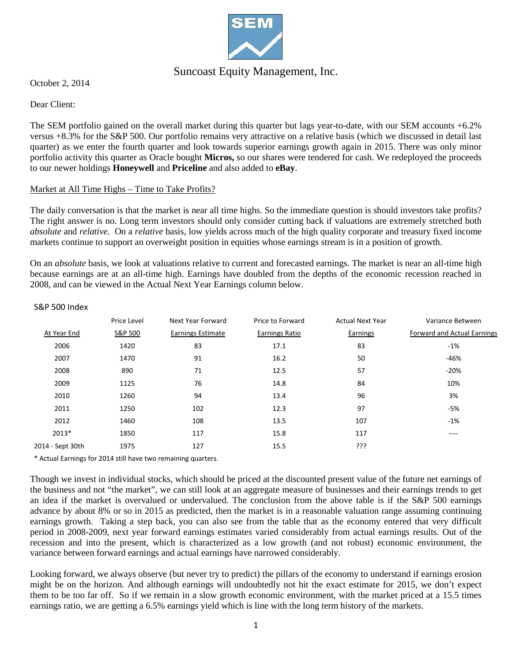

## Suncoast Equity Management, Inc.

October 2, 2014

## Dear Client:

The SEM portfolio gained on the overall market during this quarter but lags year-to-date, with our SEM accounts +6.2% versus +8.3% for the S&P 500. Our portfolio remains very attractive on a relative basis (which we discussed in detail last quarter) as we enter the fourth quarter and look towards superior earnings growth again in 2015. There was only minor portfolio activity this quarter as Oracle bought **Micros,** so our shares were tendered for cash. We redeployed the proceeds to our newer holdings **Honeywell** and **Priceline** and also added to **eBay**.

## Market at All Time Highs – Time to Take Profits?

The daily conversation is that the market is near all time highs. So the immediate question is should investors take profits? The right answer is no. Long term investors should only consider cutting back if valuations are extremely stretched both *absolute* and *relative.* On a *relative* basis, low yields across much of the high quality corporate and treasury fixed income markets continue to support an overweight position in equities whose earnings stream is in a position of growth.

On an *absolute* basis, we look at valuations relative to current and forecasted earnings. The market is near an all-time high because earnings are at an all-time high. Earnings have doubled from the depths of the economic recession reached in 2008, and can be viewed in the Actual Next Year Earnings column below.

|                  | Price Level | Next Year Forward        | Price to Forward      | <b>Actual Next Year</b> | Variance Between                   |
|------------------|-------------|--------------------------|-----------------------|-------------------------|------------------------------------|
| At Year End      | S&P 500     | <b>Earnings Estimate</b> | <b>Earnings Ratio</b> | Earnings                | <b>Forward and Actual Earnings</b> |
| 2006             | 1420        | 83                       | 17.1                  | 83                      | $-1%$                              |
| 2007             | 1470        | 91                       | 16.2                  | 50                      | $-46%$                             |
| 2008             | 890         | 71                       | 12.5                  | 57                      | $-20%$                             |
| 2009             | 1125        | 76                       | 14.8                  | 84                      | 10%                                |
| 2010             | 1260        | 94                       | 13.4                  | 96                      | 3%                                 |
| 2011             | 1250        | 102                      | 12.3                  | 97                      | $-5%$                              |
| 2012             | 1460        | 108                      | 13.5                  | 107                     | $-1%$                              |
| 2013*            | 1850        | 117                      | 15.8                  | 117                     | ----                               |
| 2014 - Sept 30th | 1975        | 127                      | 15.5                  | ???                     |                                    |
|                  |             |                          |                       |                         |                                    |

#### S&P 500 Index

\* Actual Earnings for 2014 still have two remaining quarters.

Though we invest in individual stocks, which should be priced at the discounted present value of the future net earnings of the business and not "the market", we can still look at an aggregate measure of businesses and their earnings trends to get an idea if the market is overvalued or undervalued. The conclusion from the above table is if the S&P 500 earnings advance by about 8% or so in 2015 as predicted, then the market is in a reasonable valuation range assuming continuing earnings growth. Taking a step back, you can also see from the table that as the economy entered that very difficult period in 2008-2009, next year forward earnings estimates varied considerably from actual earnings results. Out of the recession and into the present, which is characterized as a low growth (and not robust) economic environment, the variance between forward earnings and actual earnings have narrowed considerably.

Looking forward, we always observe (but never try to predict) the pillars of the economy to understand if earnings erosion might be on the horizon. And although earnings will undoubtedly not hit the exact estimate for 2015, we don't expect them to be too far off. So if we remain in a slow growth economic environment, with the market priced at a 15.5 times earnings ratio, we are getting a 6.5% earnings yield which is line with the long term history of the markets.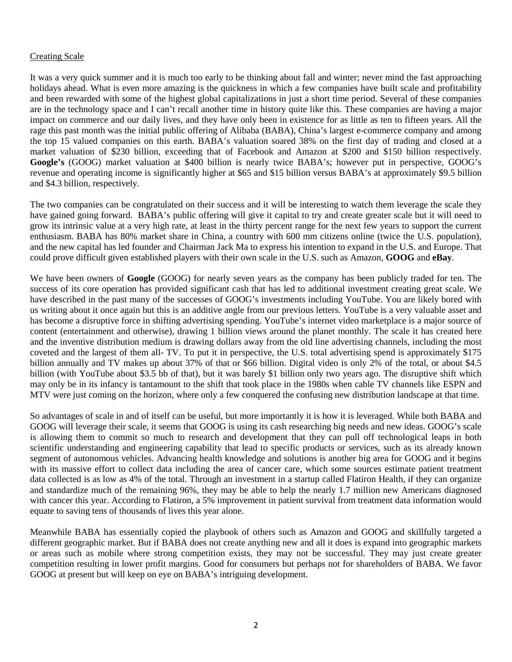## Creating Scale

It was a very quick summer and it is much too early to be thinking about fall and winter; never mind the fast approaching holidays ahead. What is even more amazing is the quickness in which a few companies have built scale and profitability and been rewarded with some of the highest global capitalizations in just a short time period. Several of these companies are in the technology space and I can't recall another time in history quite like this. These companies are having a major impact on commerce and our daily lives, and they have only been in existence for as little as ten to fifteen years. All the rage this past month was the initial public offering of Alibaba (BABA), China's largest e-commerce company and among the top 15 valued companies on this earth. BABA's valuation soared 38% on the first day of trading and closed at a market valuation of \$230 billion, exceeding that of Facebook and Amazon at \$200 and \$150 billion respectively. **Google's** (GOOG) market valuation at \$400 billion is nearly twice BABA's; however put in perspective, GOOG's revenue and operating income is significantly higher at \$65 and \$15 billion versus BABA's at approximately \$9.5 billion and \$4.3 billion, respectively.

The two companies can be congratulated on their success and it will be interesting to watch them leverage the scale they have gained going forward. BABA's public offering will give it capital to try and create greater scale but it will need to grow its intrinsic value at a very high rate, at least in the thirty percent range for the next few years to support the current enthusiasm. BABA has 80% market share in China, a country with 600 mm citizens online (twice the U.S. population), and the new capital has led founder and Chairman Jack Ma to express his intention to expand in the U.S. and Europe. That could prove difficult given established players with their own scale in the U.S. such as Amazon, **GOOG** and **eBay**.

We have been owners of **Google** (GOOG) for nearly seven years as the company has been publicly traded for ten. The success of its core operation has provided significant cash that has led to additional investment creating great scale. We have described in the past many of the successes of GOOG's investments including YouTube. You are likely bored with us writing about it once again but this is an additive angle from our previous letters. YouTube is a very valuable asset and has become a disruptive force in shifting advertising spending. YouTube's internet video marketplace is a major source of content (entertainment and otherwise), drawing 1 billion views around the planet monthly. The scale it has created here and the inventive distribution medium is drawing dollars away from the old line advertising channels, including the most coveted and the largest of them all- TV. To put it in perspective, the U.S. total advertising spend is approximately \$175 billion annually and TV makes up about 37% of that or \$66 billion. Digital video is only 2% of the total, or about \$4.5 billion (with YouTube about \$3.5 bb of that), but it was barely \$1 billion only two years ago. The disruptive shift which may only be in its infancy is tantamount to the shift that took place in the 1980s when cable TV channels like ESPN and MTV were just coming on the horizon, where only a few conquered the confusing new distribution landscape at that time.

So advantages of scale in and of itself can be useful, but more importantly it is how it is leveraged. While both BABA and GOOG will leverage their scale, it seems that GOOG is using its cash researching big needs and new ideas. GOOG's scale is allowing them to commit so much to research and development that they can pull off technological leaps in both scientific understanding and engineering capability that lead to specific products or services, such as its already known segment of autonomous vehicles. Advancing health knowledge and solutions is another big area for GOOG and it begins with its massive effort to collect data including the area of cancer care, which some sources estimate patient treatment data collected is as low as 4% of the total. Through an investment in a startup called Flatiron Health, if they can organize and standardize much of the remaining 96%, they may be able to help the nearly 1.7 million new Americans diagnosed with cancer this year. According to Flatiron, a 5% improvement in patient survival from treatment data information would equate to saving tens of thousands of lives this year alone.

Meanwhile BABA has essentially copied the playbook of others such as Amazon and GOOG and skillfully targeted a different geographic market. But if BABA does not create anything new and all it does is expand into geographic markets or areas such as mobile where strong competition exists, they may not be successful. They may just create greater competition resulting in lower profit margins. Good for consumers but perhaps not for shareholders of BABA. We favor GOOG at present but will keep on eye on BABA's intriguing development.